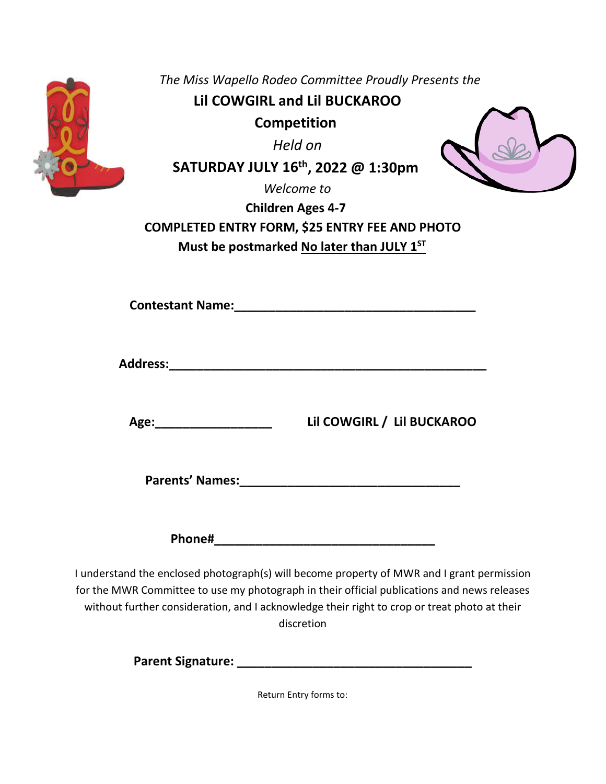| The Miss Wapello Rodeo Committee Proudly Presents the<br><b>Lil COWGIRL and Lil BUCKAROO</b><br><b>Competition</b><br>Held on<br>SATURDAY JULY 16 <sup>th</sup> , 2022 @ 1:30pm<br>Welcome to<br><b>Children Ages 4-7</b><br><b>COMPLETED ENTRY FORM, \$25 ENTRY FEE AND PHOTO</b><br>Must be postmarked No later than JULY 1ST |
|---------------------------------------------------------------------------------------------------------------------------------------------------------------------------------------------------------------------------------------------------------------------------------------------------------------------------------|
| <b>Contestant Name:</b> The Contestant Name:                                                                                                                                                                                                                                                                                    |
|                                                                                                                                                                                                                                                                                                                                 |
| Lil COWGIRL / Lil BUCKAROO                                                                                                                                                                                                                                                                                                      |
| Parents' Names: Names: 2008 2014 12:00:00 2014 2015 2020 2021 2022 2023 2024 2022 2023 2024 2022 2023 2024 20                                                                                                                                                                                                                   |
| Phone#                                                                                                                                                                                                                                                                                                                          |
| I understand the enclosed photograph(s) will become property of MWR and I grant permission<br>for the MWR Committee to use my photograph in their official publications and news releases                                                                                                                                       |

without further consideration, and I acknowledge their right to crop or treat photo at their discretion

**Parent Signature: \_\_\_\_\_\_\_\_\_\_\_\_\_\_\_\_\_\_\_\_\_\_\_\_\_\_\_\_\_\_\_\_\_\_**

Return Entry forms to: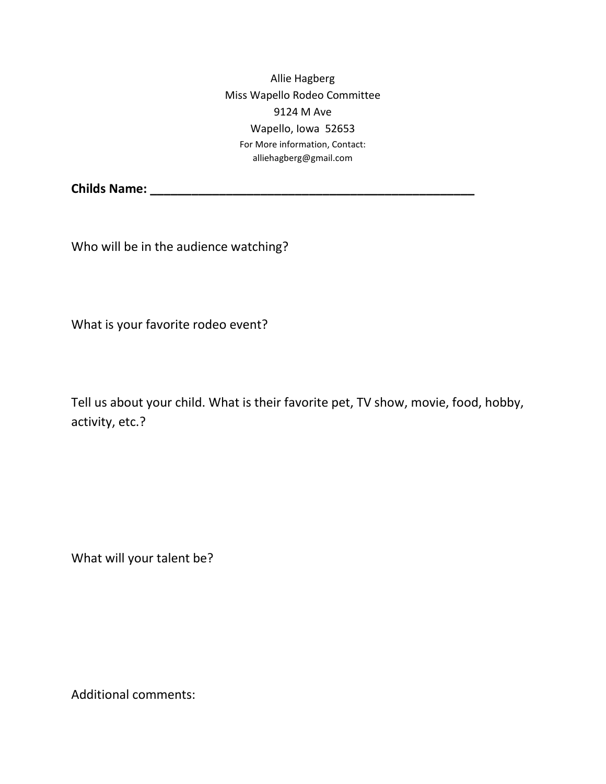Allie Hagberg Miss Wapello Rodeo Committee 9124 M Ave Wapello, Iowa 52653 For More information, Contact: alliehagberg@gmail.com

**Childs Name: \_\_\_\_\_\_\_\_\_\_\_\_\_\_\_\_\_\_\_\_\_\_\_\_\_\_\_\_\_\_\_\_\_\_\_\_\_\_\_\_\_\_\_\_\_\_\_**

Who will be in the audience watching?

What is your favorite rodeo event?

Tell us about your child. What is their favorite pet, TV show, movie, food, hobby, activity, etc.?

What will your talent be?

Additional comments: